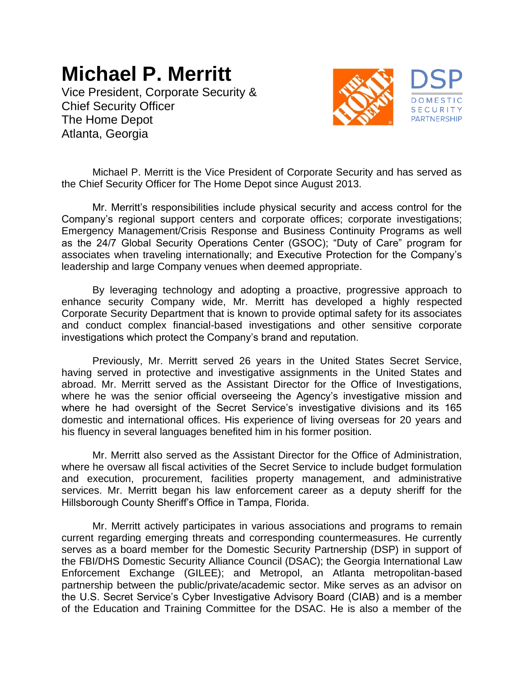## **Michael P. Merritt**

Vice President, Corporate Security & Chief Security Officer The Home Depot Atlanta, Georgia



Michael P. Merritt is the Vice President of Corporate Security and has served as the Chief Security Officer for The Home Depot since August 2013.

Mr. Merritt's responsibilities include physical security and access control for the Company's regional support centers and corporate offices; corporate investigations; Emergency Management/Crisis Response and Business Continuity Programs as well as the 24/7 Global Security Operations Center (GSOC); "Duty of Care" program for associates when traveling internationally; and Executive Protection for the Company's leadership and large Company venues when deemed appropriate.

By leveraging technology and adopting a proactive, progressive approach to enhance security Company wide, Mr. Merritt has developed a highly respected Corporate Security Department that is known to provide optimal safety for its associates and conduct complex financial-based investigations and other sensitive corporate investigations which protect the Company's brand and reputation.

Previously, Mr. Merritt served 26 years in the United States Secret Service, having served in protective and investigative assignments in the United States and abroad. Mr. Merritt served as the Assistant Director for the Office of Investigations, where he was the senior official overseeing the Agency's investigative mission and where he had oversight of the Secret Service's investigative divisions and its 165 domestic and international offices. His experience of living overseas for 20 years and his fluency in several languages benefited him in his former position.

Mr. Merritt also served as the Assistant Director for the Office of Administration, where he oversaw all fiscal activities of the Secret Service to include budget formulation and execution, procurement, facilities property management, and administrative services. Mr. Merritt began his law enforcement career as a deputy sheriff for the Hillsborough County Sheriff's Office in Tampa, Florida.

Mr. Merritt actively participates in various associations and programs to remain current regarding emerging threats and corresponding countermeasures. He currently serves as a board member for the Domestic Security Partnership (DSP) in support of the FBI/DHS Domestic Security Alliance Council (DSAC); the Georgia International Law Enforcement Exchange (GILEE); and Metropol, an Atlanta metropolitan-based partnership between the public/private/academic sector. Mike serves as an advisor on the U.S. Secret Service's Cyber Investigative Advisory Board (CIAB) and is a member of the Education and Training Committee for the DSAC. He is also a member of the